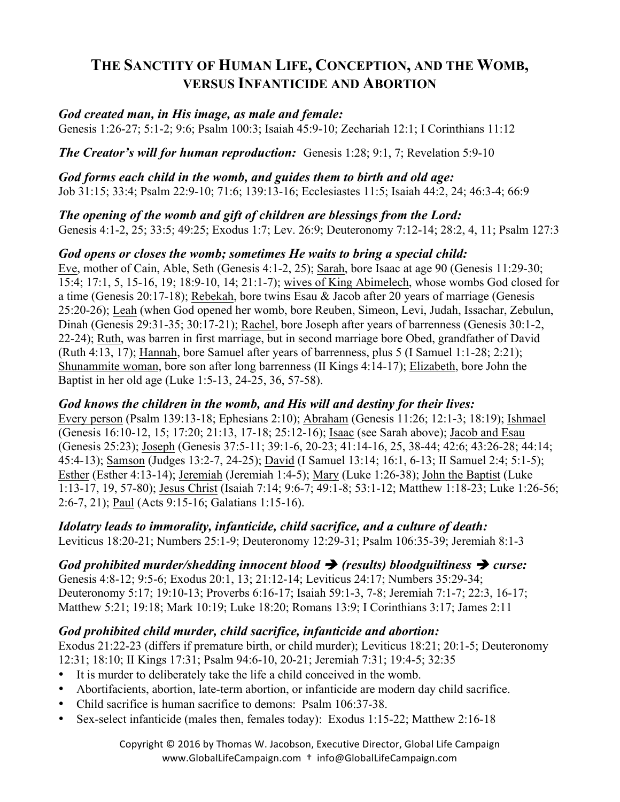# **THE SANCTITY OF HUMAN LIFE, CONCEPTION, AND THE WOMB, VERSUS INFANTICIDE AND ABORTION**

## *God created man, in His image, as male and female:*

Genesis 1:26-27; 5:1-2; 9:6; Psalm 100:3; Isaiah 45:9-10; Zechariah 12:1; I Corinthians 11:12

*The Creator's will for human reproduction:* Genesis 1:28; 9:1, 7; Revelation 5:9-10

*God forms each child in the womb, and guides them to birth and old age:*  Job 31:15; 33:4; Psalm 22:9-10; 71:6; 139:13-16; Ecclesiastes 11:5; Isaiah 44:2, 24; 46:3-4; 66:9

*The opening of the womb and gift of children are blessings from the Lord:*  Genesis 4:1-2, 25; 33:5; 49:25; Exodus 1:7; Lev. 26:9; Deuteronomy 7:12-14; 28:2, 4, 11; Psalm 127:3

#### *God opens or closes the womb; sometimes He waits to bring a special child:*

Eve, mother of Cain, Able, Seth (Genesis 4:1-2, 25); Sarah, bore Isaac at age 90 (Genesis 11:29-30; 15:4; 17:1, 5, 15-16, 19; 18:9-10, 14; 21:1-7); wives of King Abimelech, whose wombs God closed for a time (Genesis 20:17-18); Rebekah, bore twins Esau & Jacob after 20 years of marriage (Genesis 25:20-26); Leah (when God opened her womb, bore Reuben, Simeon, Levi, Judah, Issachar, Zebulun, Dinah (Genesis 29:31-35; 30:17-21); Rachel, bore Joseph after years of barrenness (Genesis 30:1-2, 22-24); Ruth, was barren in first marriage, but in second marriage bore Obed, grandfather of David (Ruth 4:13, 17); Hannah, bore Samuel after years of barrenness, plus 5 (I Samuel 1:1-28; 2:21); Shunammite woman, bore son after long barrenness (II Kings 4:14-17); Elizabeth, bore John the Baptist in her old age (Luke 1:5-13, 24-25, 36, 57-58).

#### *God knows the children in the womb, and His will and destiny for their lives:*

Every person (Psalm 139:13-18; Ephesians 2:10); Abraham (Genesis 11:26; 12:1-3; 18:19); Ishmael (Genesis 16:10-12, 15; 17:20; 21:13, 17-18; 25:12-16); Isaac (see Sarah above); Jacob and Esau (Genesis 25:23); Joseph (Genesis 37:5-11; 39:1-6, 20-23; 41:14-16, 25, 38-44; 42:6; 43:26-28; 44:14; 45:4-13); Samson (Judges 13:2-7, 24-25); David (I Samuel 13:14; 16:1, 6-13; II Samuel 2:4; 5:1-5); Esther (Esther 4:13-14); Jeremiah (Jeremiah 1:4-5); Mary (Luke 1:26-38); John the Baptist (Luke 1:13-17, 19, 57-80); Jesus Christ (Isaiah 7:14; 9:6-7; 49:1-8; 53:1-12; Matthew 1:18-23; Luke 1:26-56; 2:6-7, 21); Paul (Acts 9:15-16; Galatians 1:15-16).

*Idolatry leads to immorality, infanticide, child sacrifice, and a culture of death:*  Leviticus 18:20-21; Numbers 25:1-9; Deuteronomy 12:29-31; Psalm 106:35-39; Jeremiah 8:1-3

*God prohibited murder/shedding innocent blood*  $\rightarrow$  *(results) bloodguiltiness*  $\rightarrow$  *curse:* 

Genesis 4:8-12; 9:5-6; Exodus 20:1, 13; 21:12-14; Leviticus 24:17; Numbers 35:29-34; Deuteronomy 5:17; 19:10-13; Proverbs 6:16-17; Isaiah 59:1-3, 7-8; Jeremiah 7:1-7; 22:3, 16-17; Matthew 5:21; 19:18; Mark 10:19; Luke 18:20; Romans 13:9; I Corinthians 3:17; James 2:11

# *God prohibited child murder, child sacrifice, infanticide and abortion:*

Exodus 21:22-23 (differs if premature birth, or child murder); Leviticus 18:21; 20:1-5; Deuteronomy 12:31; 18:10; II Kings 17:31; Psalm 94:6-10, 20-21; Jeremiah 7:31; 19:4-5; 32:35

- It is murder to deliberately take the life a child conceived in the womb.
- Abortifacients, abortion, late-term abortion, or infanticide are modern day child sacrifice.
- Child sacrifice is human sacrifice to demons: Psalm 106:37-38.
- Sex-select infanticide (males then, females today): Exodus 1:15-22; Matthew 2:16-18